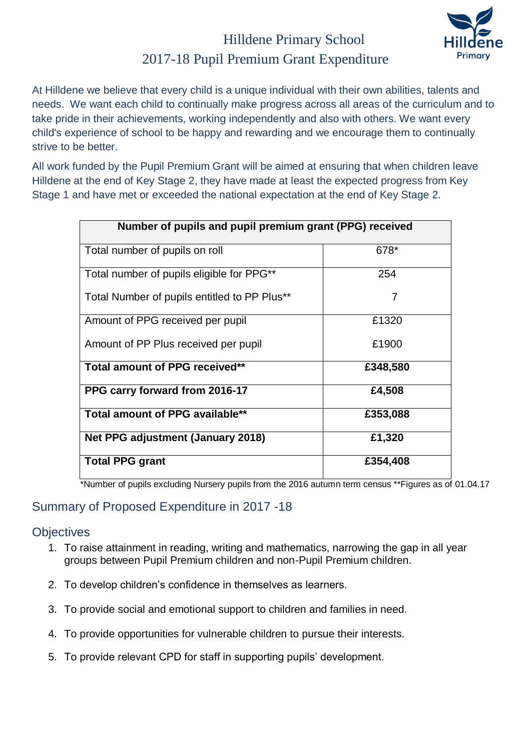## Hilldene Primary School 2017-18 Pupil Premium Grant Expenditure



At Hilldene we believe that every child is a unique individual with their own abilities, talents and needs. We want each child to continually make progress across all areas of the curriculum and to take pride in their achievements, working independently and also with others. We want every child's experience of school to be happy and rewarding and we encourage them to continually strive to be better.

All work funded by the Pupil Premium Grant will be aimed at ensuring that when children leave Hilldene at the end of Key Stage 2, they have made at least the expected progress from Key Stage 1 and have met or exceeded the national expectation at the end of Key Stage 2.

| Number of pupils and pupil premium grant (PPG) received |          |  |  |  |
|---------------------------------------------------------|----------|--|--|--|
| Total number of pupils on roll                          | 678*     |  |  |  |
| Total number of pupils eligible for PPG**               | 254      |  |  |  |
| Total Number of pupils entitled to PP Plus**            | 7        |  |  |  |
| Amount of PPG received per pupil                        | £1320    |  |  |  |
| Amount of PP Plus received per pupil                    | £1900    |  |  |  |
| Total amount of PPG received**                          | £348,580 |  |  |  |
| PPG carry forward from 2016-17                          | £4,508   |  |  |  |
| Total amount of PPG available**                         | £353,088 |  |  |  |
| Net PPG adjustment (January 2018)                       | £1,320   |  |  |  |
| <b>Total PPG grant</b>                                  | £354,408 |  |  |  |

\*Number of pupils excluding Nursery pupils from the 2016 autumn term census \*\*Figures as of 01.04.17

#### Summary of Proposed Expenditure in 2017 -18

#### **Objectives**

- 1. To raise attainment in reading, writing and mathematics, narrowing the gap in all year groups between Pupil Premium children and non-Pupil Premium children.
- 2. To develop children's confidence in themselves as learners.
- 3. To provide social and emotional support to children and families in need.
- 4. To provide opportunities for vulnerable children to pursue their interests.
- 5. To provide relevant CPD for staff in supporting pupils' development.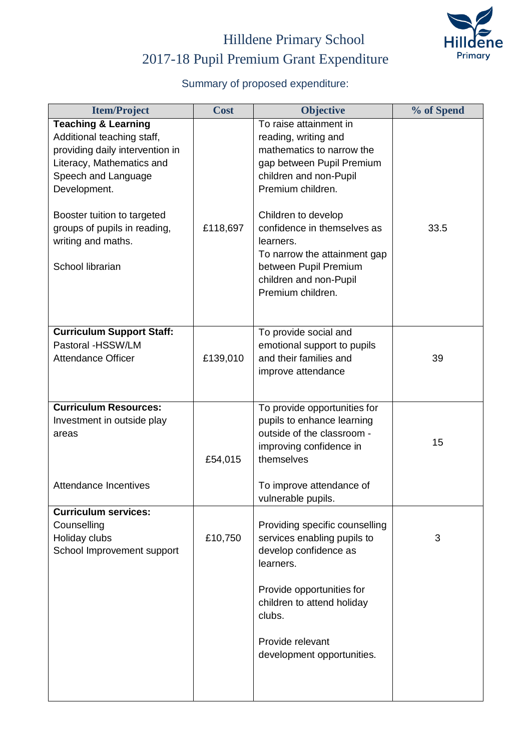

# Hilldene Primary School 2017-18 Pupil Premium Grant Expenditure

### Summary of proposed expenditure:

| <b>Cost</b> | Objective                                                                                                                                                                                                                                                                                                                          | % of Spend         |
|-------------|------------------------------------------------------------------------------------------------------------------------------------------------------------------------------------------------------------------------------------------------------------------------------------------------------------------------------------|--------------------|
| £118,697    | To raise attainment in<br>reading, writing and<br>mathematics to narrow the<br>gap between Pupil Premium<br>children and non-Pupil<br>Premium children.<br>Children to develop<br>confidence in themselves as<br>learners.<br>To narrow the attainment gap<br>between Pupil Premium<br>children and non-Pupil<br>Premium children. | 33.5               |
| £139,010    | To provide social and<br>emotional support to pupils<br>and their families and<br>improve attendance                                                                                                                                                                                                                               | 39                 |
| £54,015     | To provide opportunities for<br>pupils to enhance learning<br>outside of the classroom -<br>improving confidence in<br>themselves<br>To improve attendance of                                                                                                                                                                      | 15                 |
| £10,750     | Providing specific counselling<br>services enabling pupils to<br>develop confidence as<br>learners.<br>Provide opportunities for<br>children to attend holiday<br>clubs.<br>Provide relevant<br>development opportunities.                                                                                                         | 3                  |
|             |                                                                                                                                                                                                                                                                                                                                    | vulnerable pupils. |